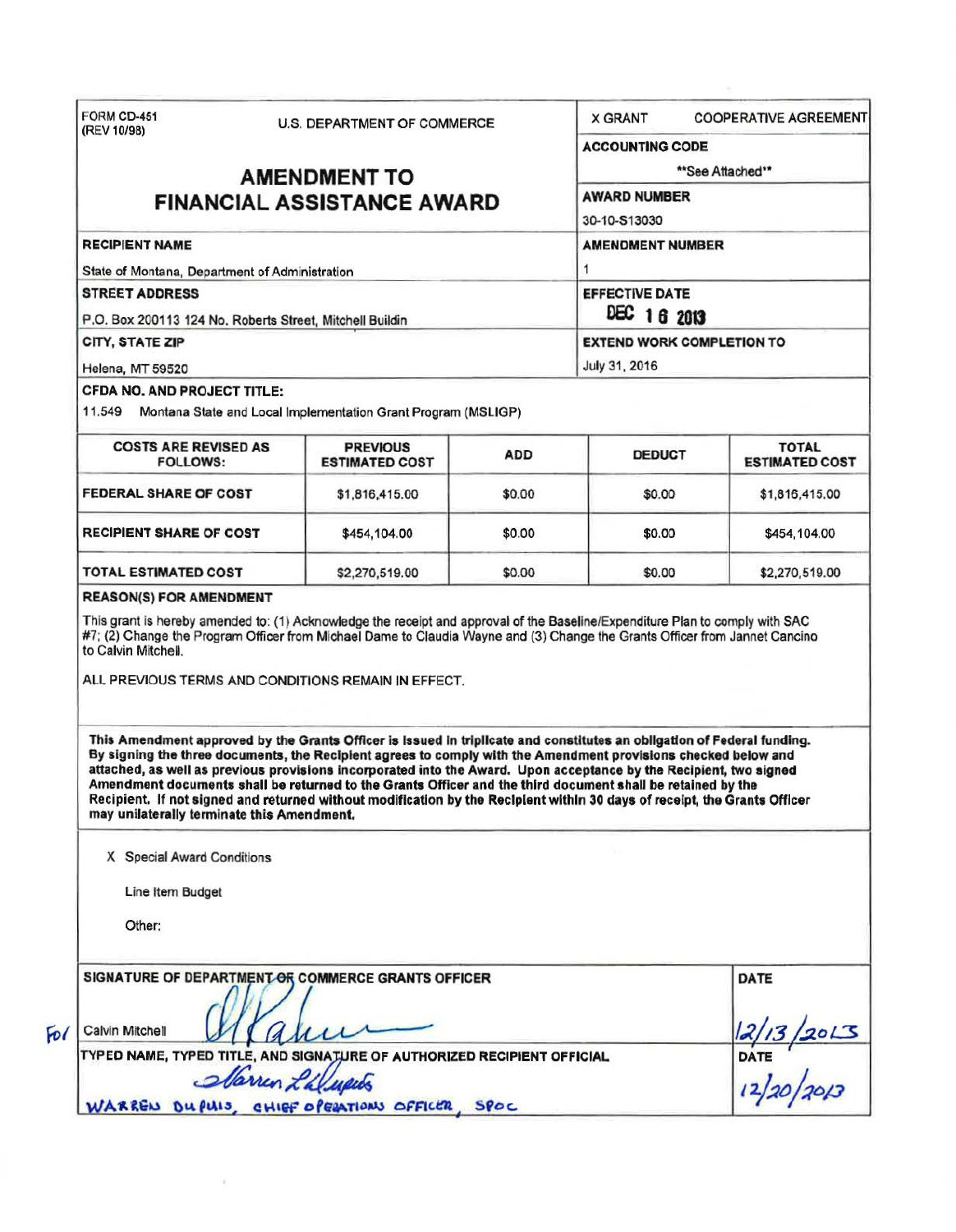| FORM CD-451<br><b>U.S. DEPARTMENT OF COMMERCE</b><br>(REV 10/98)                                                                                                                                                                                                                                                                                                                                                                                                                                                                                                                                                                                          |                |        | <b>COOPERATIVE AGREEMENT</b><br><b>X GRANT</b>                                                                                                                 |                                          |  |                                                |                                                               |            |               |                                       |  |
|-----------------------------------------------------------------------------------------------------------------------------------------------------------------------------------------------------------------------------------------------------------------------------------------------------------------------------------------------------------------------------------------------------------------------------------------------------------------------------------------------------------------------------------------------------------------------------------------------------------------------------------------------------------|----------------|--------|----------------------------------------------------------------------------------------------------------------------------------------------------------------|------------------------------------------|--|------------------------------------------------|---------------------------------------------------------------|------------|---------------|---------------------------------------|--|
| <b>AMENDMENT TO</b><br><b>FINANCIAL ASSISTANCE AWARD</b><br><b>RECIPIENT NAME</b><br>State of Montana, Department of Administration<br><b>STREET ADDRESS</b><br>P.O. Box 200113 124 No. Roberts Street, Mitchell Buildin<br>CITY, STATE ZIP                                                                                                                                                                                                                                                                                                                                                                                                               |                |        | <b>ACCOUNTING CODE</b>                                                                                                                                         |                                          |  |                                                |                                                               |            |               |                                       |  |
|                                                                                                                                                                                                                                                                                                                                                                                                                                                                                                                                                                                                                                                           |                |        | **See Attached**<br><b>AWARD NUMBER</b><br>30-10-S13030<br><b>AMENDMENT NUMBER</b><br><b>EFFECTIVE DATE</b><br>DEC 16 2013<br><b>EXTEND WORK COMPLETION TO</b> |                                          |  |                                                |                                                               |            |               |                                       |  |
|                                                                                                                                                                                                                                                                                                                                                                                                                                                                                                                                                                                                                                                           |                |        |                                                                                                                                                                |                                          |  | Helena, MT 59520                               |                                                               |            | July 31, 2016 |                                       |  |
|                                                                                                                                                                                                                                                                                                                                                                                                                                                                                                                                                                                                                                                           |                |        |                                                                                                                                                                |                                          |  | <b>CFDA NO. AND PROJECT TITLE:</b>             |                                                               |            |               |                                       |  |
|                                                                                                                                                                                                                                                                                                                                                                                                                                                                                                                                                                                                                                                           |                |        |                                                                                                                                                                |                                          |  | 11.549                                         | Montana State and Local Implementation Grant Program (MSLIGP) |            |               |                                       |  |
|                                                                                                                                                                                                                                                                                                                                                                                                                                                                                                                                                                                                                                                           |                |        |                                                                                                                                                                |                                          |  | <b>COSTS ARE REVISED AS</b><br><b>FOLLOWS:</b> | <b>PREVIOUS</b><br><b>ESTIMATED COST</b>                      | <b>ADD</b> | <b>DEDUCT</b> | <b>TOTAL</b><br><b>ESTIMATED COST</b> |  |
|                                                                                                                                                                                                                                                                                                                                                                                                                                                                                                                                                                                                                                                           |                |        |                                                                                                                                                                |                                          |  | <b>FEDERAL SHARE OF COST</b>                   | \$1,816,415.00                                                | \$0.00     | \$0.00        | \$1,816,415.00                        |  |
|                                                                                                                                                                                                                                                                                                                                                                                                                                                                                                                                                                                                                                                           |                |        |                                                                                                                                                                |                                          |  | <b>RECIPIENT SHARE OF COST</b>                 | \$454,104.00                                                  | \$0.00     | \$0.00        | \$454,104.00                          |  |
| TOTAL ESTIMATED COST                                                                                                                                                                                                                                                                                                                                                                                                                                                                                                                                                                                                                                      | \$2,270,519.00 | \$0.00 | \$0.00                                                                                                                                                         | \$2,270,519.00                           |  |                                                |                                                               |            |               |                                       |  |
| ALL PREVIOUS TERMS AND CONDITIONS REMAIN IN EFFECT.                                                                                                                                                                                                                                                                                                                                                                                                                                                                                                                                                                                                       |                |        |                                                                                                                                                                |                                          |  |                                                |                                                               |            |               |                                       |  |
| This Amendment approved by the Grants Officer is Issued in triplicate and constitutes an obligation of Federal funding.<br>By signing the three documents, the Recipient agrees to comply with the Amendment provisions checked below and<br>attached, as well as previous provisions incorporated into the Award. Upon acceptance by the Recipient, two signed<br>Amendment documents shall be returned to the Grants Officer and the third document shall be retained by the<br>Recipient. If not signed and returned without modification by the Recipient within 30 days of receipt, the Grants Officer<br>may unilaterally terminate this Amendment. |                |        |                                                                                                                                                                |                                          |  |                                                |                                                               |            |               |                                       |  |
| X Special Award Conditions                                                                                                                                                                                                                                                                                                                                                                                                                                                                                                                                                                                                                                |                |        |                                                                                                                                                                |                                          |  |                                                |                                                               |            |               |                                       |  |
| Line Item Budget                                                                                                                                                                                                                                                                                                                                                                                                                                                                                                                                                                                                                                          |                |        |                                                                                                                                                                |                                          |  |                                                |                                                               |            |               |                                       |  |
| Other:                                                                                                                                                                                                                                                                                                                                                                                                                                                                                                                                                                                                                                                    |                |        |                                                                                                                                                                |                                          |  |                                                |                                                               |            |               |                                       |  |
| SIGNATURE OF DEPARTMENT OR COMMERCE GRANTS OFFICER                                                                                                                                                                                                                                                                                                                                                                                                                                                                                                                                                                                                        |                |        |                                                                                                                                                                | DATE                                     |  |                                                |                                                               |            |               |                                       |  |
| Calvin Mitchell                                                                                                                                                                                                                                                                                                                                                                                                                                                                                                                                                                                                                                           | u              |        |                                                                                                                                                                |                                          |  |                                                |                                                               |            |               |                                       |  |
| TYPED NAME, TYPED TITLE, AND SIGNATURE OF AUTHORIZED RECIPIENT OFFICIAL                                                                                                                                                                                                                                                                                                                                                                                                                                                                                                                                                                                   |                |        |                                                                                                                                                                |                                          |  |                                                |                                                               |            |               |                                       |  |
| Marrin L'alupits                                                                                                                                                                                                                                                                                                                                                                                                                                                                                                                                                                                                                                          |                |        |                                                                                                                                                                | $\frac{12/13}{20}$<br>DATE<br>12/20/2013 |  |                                                |                                                               |            |               |                                       |  |
| WARREN DUPUIS, CHIEF OPERATIONS OFFICER, SPOC                                                                                                                                                                                                                                                                                                                                                                                                                                                                                                                                                                                                             |                |        |                                                                                                                                                                |                                          |  |                                                |                                                               |            |               |                                       |  |

×